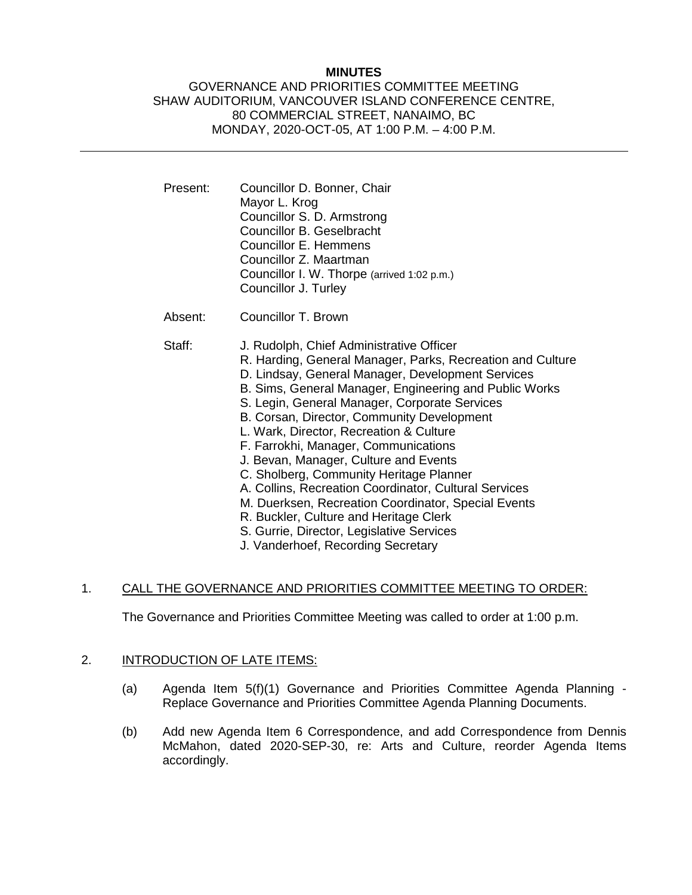## **MINUTES**

### GOVERNANCE AND PRIORITIES COMMITTEE MEETING SHAW AUDITORIUM, VANCOUVER ISLAND CONFERENCE CENTRE, 80 COMMERCIAL STREET, NANAIMO, BC MONDAY, 2020-OCT-05, AT 1:00 P.M. – 4:00 P.M.

- Present: Councillor D. Bonner, Chair Mayor L. Krog Councillor S. D. Armstrong Councillor B. Geselbracht Councillor E. Hemmens Councillor Z. Maartman Councillor I. W. Thorpe (arrived 1:02 p.m.) Councillor J. Turley
- Absent: Councillor T. Brown

- Staff: J. Rudolph, Chief Administrative Officer
	- R. Harding, General Manager, Parks, Recreation and Culture
	- D. Lindsay, General Manager, Development Services
	- B. Sims, General Manager, Engineering and Public Works
	- S. Legin, General Manager, Corporate Services
	- B. Corsan, Director, Community Development
	- L. Wark, Director, Recreation & Culture
	- F. Farrokhi, Manager, Communications
	- J. Bevan, Manager, Culture and Events
	- C. Sholberg, Community Heritage Planner
	- A. Collins, Recreation Coordinator, Cultural Services
	- M. Duerksen, Recreation Coordinator, Special Events
	- R. Buckler, Culture and Heritage Clerk
	- S. Gurrie, Director, Legislative Services
	- J. Vanderhoef, Recording Secretary

#### 1. CALL THE GOVERNANCE AND PRIORITIES COMMITTEE MEETING TO ORDER:

The Governance and Priorities Committee Meeting was called to order at 1:00 p.m.

#### 2. INTRODUCTION OF LATE ITEMS:

- (a) Agenda Item 5(f)(1) Governance and Priorities Committee Agenda Planning Replace Governance and Priorities Committee Agenda Planning Documents.
- (b) Add new Agenda Item 6 Correspondence, and add Correspondence from Dennis McMahon, dated 2020-SEP-30, re: Arts and Culture, reorder Agenda Items accordingly.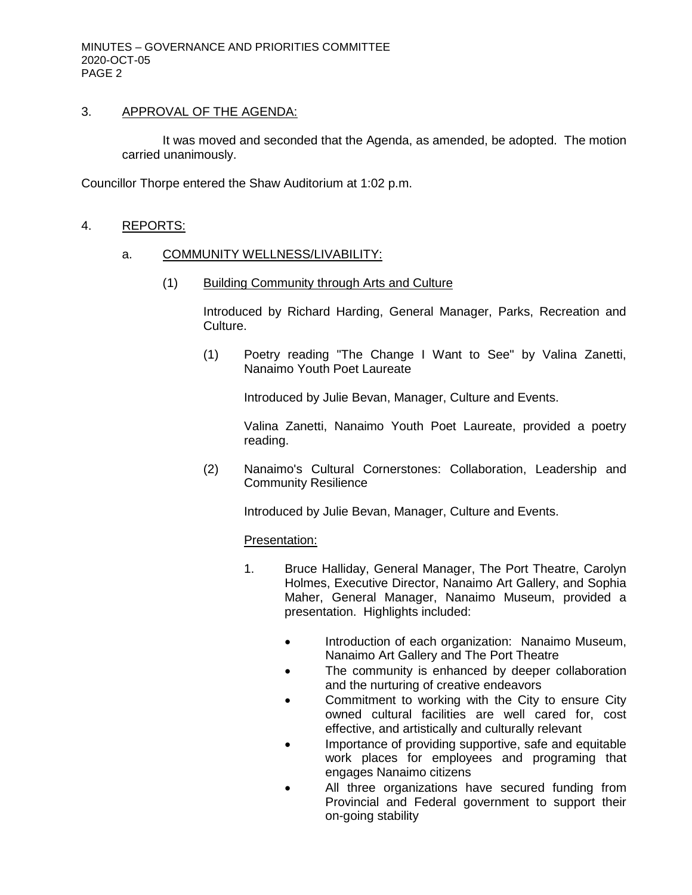## 3. APPROVAL OF THE AGENDA:

It was moved and seconded that the Agenda, as amended, be adopted. The motion carried unanimously.

Councillor Thorpe entered the Shaw Auditorium at 1:02 p.m.

# 4. REPORTS:

# a. COMMUNITY WELLNESS/LIVABILITY:

(1) Building Community through Arts and Culture

Introduced by Richard Harding, General Manager, Parks, Recreation and Culture.

(1) Poetry reading "The Change I Want to See" by Valina Zanetti, Nanaimo Youth Poet Laureate

Introduced by Julie Bevan, Manager, Culture and Events.

Valina Zanetti, Nanaimo Youth Poet Laureate, provided a poetry reading.

(2) Nanaimo's Cultural Cornerstones: Collaboration, Leadership and Community Resilience

Introduced by Julie Bevan, Manager, Culture and Events.

## Presentation:

- 1. Bruce Halliday, General Manager, The Port Theatre, Carolyn Holmes, Executive Director, Nanaimo Art Gallery, and Sophia Maher, General Manager, Nanaimo Museum, provided a presentation. Highlights included:
	- Introduction of each organization: Nanaimo Museum, Nanaimo Art Gallery and The Port Theatre
	- The community is enhanced by deeper collaboration and the nurturing of creative endeavors
	- Commitment to working with the City to ensure City owned cultural facilities are well cared for, cost effective, and artistically and culturally relevant
	- Importance of providing supportive, safe and equitable work places for employees and programing that engages Nanaimo citizens
	- All three organizations have secured funding from Provincial and Federal government to support their on-going stability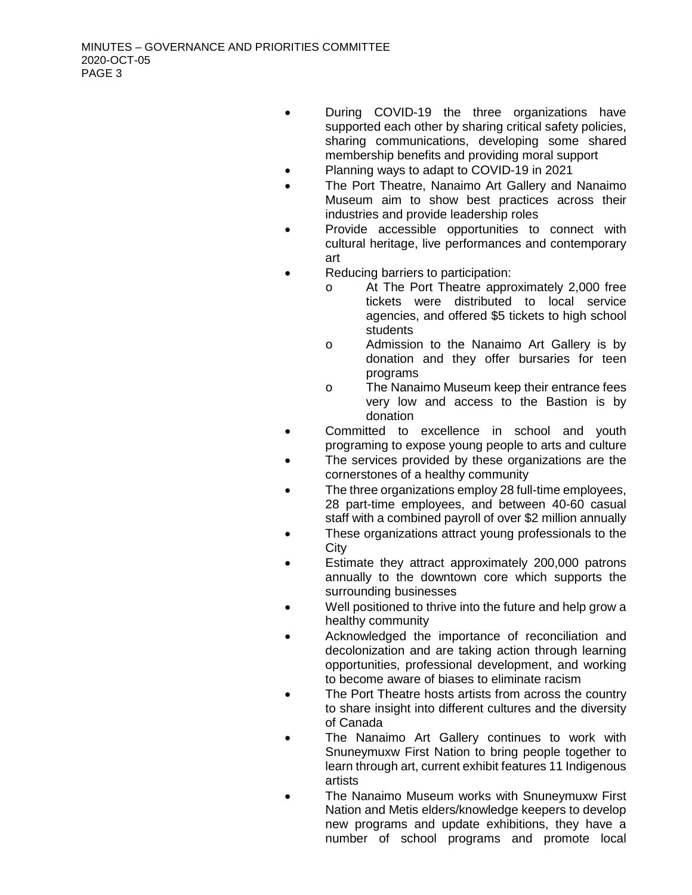- During COVID-19 the three organizations have supported each other by sharing critical safety policies, sharing communications, developing some shared membership benefits and providing moral support
- Planning ways to adapt to COVID-19 in 2021
- The Port Theatre, Nanaimo Art Gallery and Nanaimo Museum aim to show best practices across their industries and provide leadership roles
- Provide accessible opportunities to connect with cultural heritage, live performances and contemporary art
- Reducing barriers to participation:
	- o At The Port Theatre approximately 2,000 free tickets were distributed to local service agencies, and offered \$5 tickets to high school students
	- o Admission to the Nanaimo Art Gallery is by donation and they offer bursaries for teen programs
	- o The Nanaimo Museum keep their entrance fees very low and access to the Bastion is by donation
- Committed to excellence in school and youth programing to expose young people to arts and culture
- The services provided by these organizations are the cornerstones of a healthy community
- The three organizations employ 28 full-time employees, 28 part-time employees, and between 40-60 casual staff with a combined payroll of over \$2 million annually
- These organizations attract young professionals to the **City**
- Estimate they attract approximately 200,000 patrons annually to the downtown core which supports the surrounding businesses
- Well positioned to thrive into the future and help grow a healthy community
- Acknowledged the importance of reconciliation and decolonization and are taking action through learning opportunities, professional development, and working to become aware of biases to eliminate racism
- The Port Theatre hosts artists from across the country to share insight into different cultures and the diversity of Canada
- The Nanaimo Art Gallery continues to work with Snuneymuxw First Nation to bring people together to learn through art, current exhibit features 11 Indigenous artists
- The Nanaimo Museum works with Snuneymuxw First Nation and Metis elders/knowledge keepers to develop new programs and update exhibitions, they have a number of school programs and promote local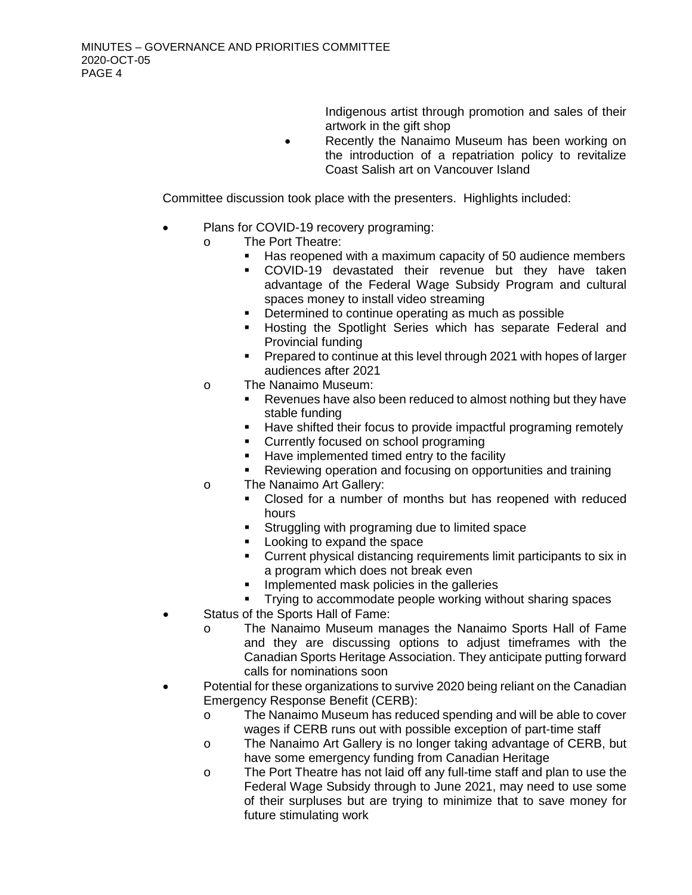Indigenous artist through promotion and sales of their artwork in the gift shop

• Recently the Nanaimo Museum has been working on the introduction of a repatriation policy to revitalize Coast Salish art on Vancouver Island

Committee discussion took place with the presenters. Highlights included:

- Plans for COVID-19 recovery programing:
	- o The Port Theatre:
		- Has reopened with a maximum capacity of 50 audience members
		- COVID-19 devastated their revenue but they have taken advantage of the Federal Wage Subsidy Program and cultural spaces money to install video streaming
		- **•** Determined to continue operating as much as possible
		- **Hosting the Spotlight Series which has separate Federal and** Provincial funding
		- **Prepared to continue at this level through 2021 with hopes of larger** audiences after 2021
	- o The Nanaimo Museum:<br>Revenues have also
		- Revenues have also been reduced to almost nothing but they have stable funding
		- **Have shifted their focus to provide impactful programing remotely**
		- Currently focused on school programing
		- Have implemented timed entry to the facility
		- Reviewing operation and focusing on opportunities and training
	- o The Nanaimo Art Gallery:
		- Closed for a number of months but has reopened with reduced hours
		- **Struggling with programing due to limited space**
		- **Looking to expand the space**
		- Current physical distancing requirements limit participants to six in a program which does not break even
		- **IMPLEMENTED MASK policies in the galleries**
		- **Trying to accommodate people working without sharing spaces**
- Status of the Sports Hall of Fame:
	- o The Nanaimo Museum manages the Nanaimo Sports Hall of Fame and they are discussing options to adjust timeframes with the Canadian Sports Heritage Association. They anticipate putting forward calls for nominations soon
- Potential for these organizations to survive 2020 being reliant on the Canadian Emergency Response Benefit (CERB):
	- o The Nanaimo Museum has reduced spending and will be able to cover wages if CERB runs out with possible exception of part-time staff
	- o The Nanaimo Art Gallery is no longer taking advantage of CERB, but have some emergency funding from Canadian Heritage
	- o The Port Theatre has not laid off any full-time staff and plan to use the Federal Wage Subsidy through to June 2021, may need to use some of their surpluses but are trying to minimize that to save money for future stimulating work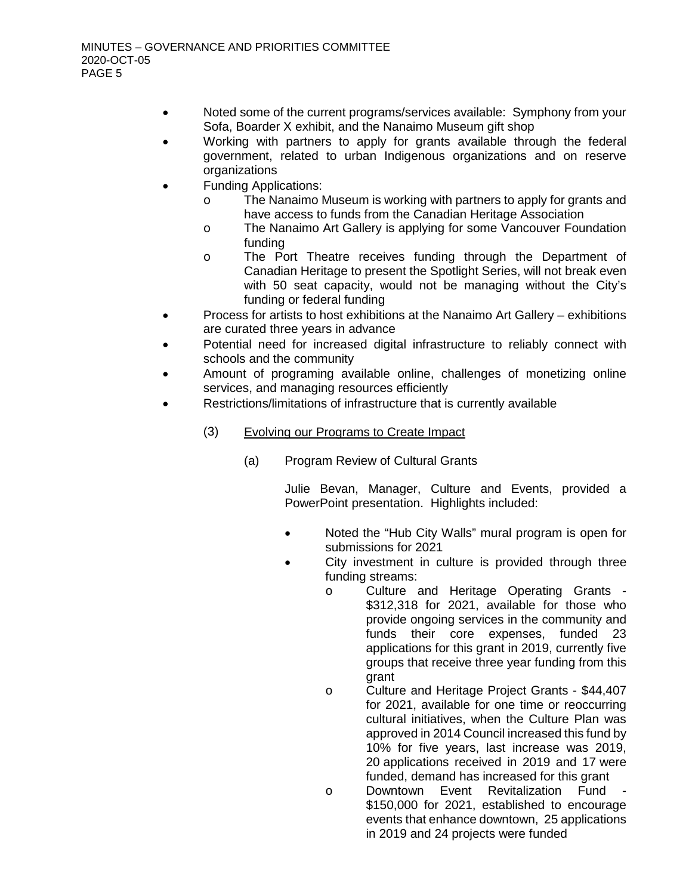- Noted some of the current programs/services available: Symphony from your Sofa, Boarder X exhibit, and the Nanaimo Museum gift shop
- Working with partners to apply for grants available through the federal government, related to urban Indigenous organizations and on reserve organizations
- Funding Applications:
	- o The Nanaimo Museum is working with partners to apply for grants and have access to funds from the Canadian Heritage Association
	- o The Nanaimo Art Gallery is applying for some Vancouver Foundation funding
	- o The Port Theatre receives funding through the Department of Canadian Heritage to present the Spotlight Series, will not break even with 50 seat capacity, would not be managing without the City's funding or federal funding
- Process for artists to host exhibitions at the Nanaimo Art Gallery exhibitions are curated three years in advance
- Potential need for increased digital infrastructure to reliably connect with schools and the community
- Amount of programing available online, challenges of monetizing online services, and managing resources efficiently
- Restrictions/limitations of infrastructure that is currently available
	- (3) Evolving our Programs to Create Impact
		- (a) Program Review of Cultural Grants

Julie Bevan, Manager, Culture and Events, provided a PowerPoint presentation. Highlights included:

- Noted the "Hub City Walls" mural program is open for submissions for 2021
- City investment in culture is provided through three funding streams:
	- o Culture and Heritage Operating Grants \$312,318 for 2021, available for those who provide ongoing services in the community and funds their core expenses, funded 23 applications for this grant in 2019, currently five groups that receive three year funding from this grant
	- o Culture and Heritage Project Grants \$44,407 for 2021, available for one time or reoccurring cultural initiatives, when the Culture Plan was approved in 2014 Council increased this fund by 10% for five years, last increase was 2019, 20 applications received in 2019 and 17 were funded, demand has increased for this grant
	- o Downtown Event Revitalization Fund \$150,000 for 2021, established to encourage events that enhance downtown, 25 applications in 2019 and 24 projects were funded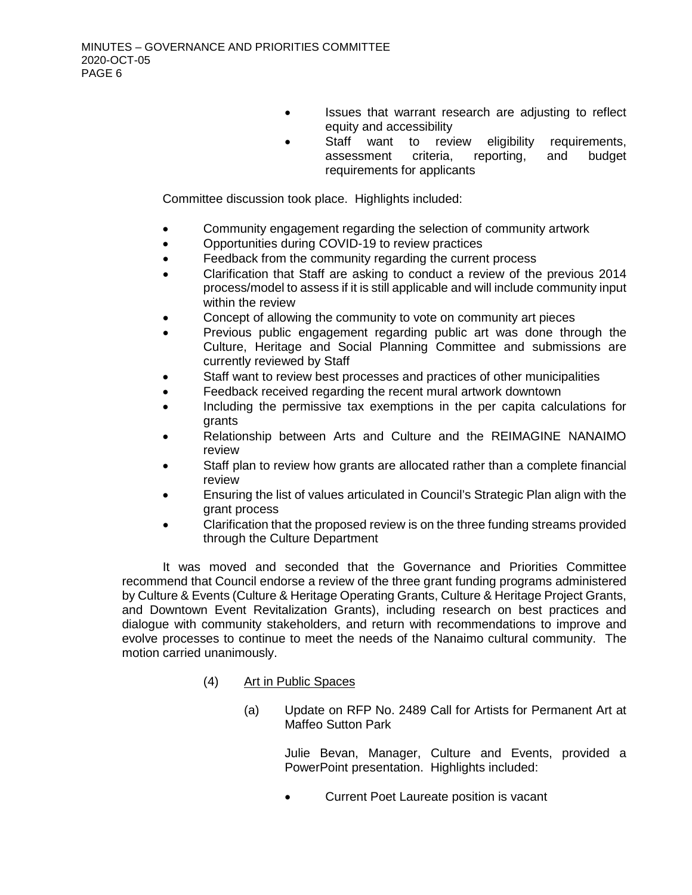- Issues that warrant research are adjusting to reflect equity and accessibility
	- Staff want to review eligibility requirements, assessment criteria, reporting, and budget requirements for applicants

Committee discussion took place. Highlights included:

- Community engagement regarding the selection of community artwork
- Opportunities during COVID-19 to review practices
- Feedback from the community regarding the current process
- Clarification that Staff are asking to conduct a review of the previous 2014 process/model to assess if it is still applicable and will include community input within the review
- Concept of allowing the community to vote on community art pieces
- Previous public engagement regarding public art was done through the Culture, Heritage and Social Planning Committee and submissions are currently reviewed by Staff
- Staff want to review best processes and practices of other municipalities
- Feedback received regarding the recent mural artwork downtown
- Including the permissive tax exemptions in the per capita calculations for grants
- Relationship between Arts and Culture and the REIMAGINE NANAIMO review
- Staff plan to review how grants are allocated rather than a complete financial review
- Ensuring the list of values articulated in Council's Strategic Plan align with the grant process
- Clarification that the proposed review is on the three funding streams provided through the Culture Department

It was moved and seconded that the Governance and Priorities Committee recommend that Council endorse a review of the three grant funding programs administered by Culture & Events (Culture & Heritage Operating Grants, Culture & Heritage Project Grants, and Downtown Event Revitalization Grants), including research on best practices and dialogue with community stakeholders, and return with recommendations to improve and evolve processes to continue to meet the needs of the Nanaimo cultural community. The motion carried unanimously.

- (4) Art in Public Spaces
	- (a) Update on RFP No. 2489 Call for Artists for Permanent Art at Maffeo Sutton Park

Julie Bevan, Manager, Culture and Events, provided a PowerPoint presentation. Highlights included:

• Current Poet Laureate position is vacant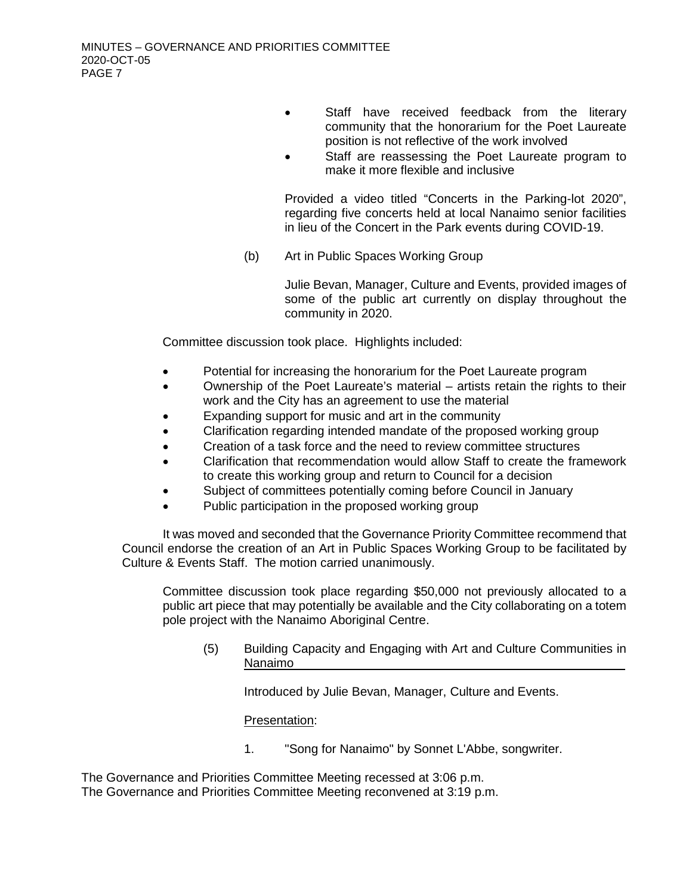- Staff have received feedback from the literary community that the honorarium for the Poet Laureate position is not reflective of the work involved
- Staff are reassessing the Poet Laureate program to make it more flexible and inclusive

Provided a video titled "Concerts in the Parking-lot 2020", regarding five concerts held at local Nanaimo senior facilities in lieu of the Concert in the Park events during COVID-19.

(b) Art in Public Spaces Working Group

Julie Bevan, Manager, Culture and Events, provided images of some of the public art currently on display throughout the community in 2020.

Committee discussion took place. Highlights included:

- Potential for increasing the honorarium for the Poet Laureate program
- Ownership of the Poet Laureate's material artists retain the rights to their work and the City has an agreement to use the material
- Expanding support for music and art in the community
- Clarification regarding intended mandate of the proposed working group
- Creation of a task force and the need to review committee structures
- Clarification that recommendation would allow Staff to create the framework to create this working group and return to Council for a decision
- Subiect of committees potentially coming before Council in January
- Public participation in the proposed working group

It was moved and seconded that the Governance Priority Committee recommend that Council endorse the creation of an Art in Public Spaces Working Group to be facilitated by Culture & Events Staff. The motion carried unanimously.

Committee discussion took place regarding \$50,000 not previously allocated to a public art piece that may potentially be available and the City collaborating on a totem pole project with the Nanaimo Aboriginal Centre.

(5) Building Capacity and Engaging with Art and Culture Communities in Nanaimo

Introduced by Julie Bevan, Manager, Culture and Events.

Presentation:

1. "Song for Nanaimo" by Sonnet L'Abbe, songwriter.

The Governance and Priorities Committee Meeting recessed at 3:06 p.m. The Governance and Priorities Committee Meeting reconvened at 3:19 p.m.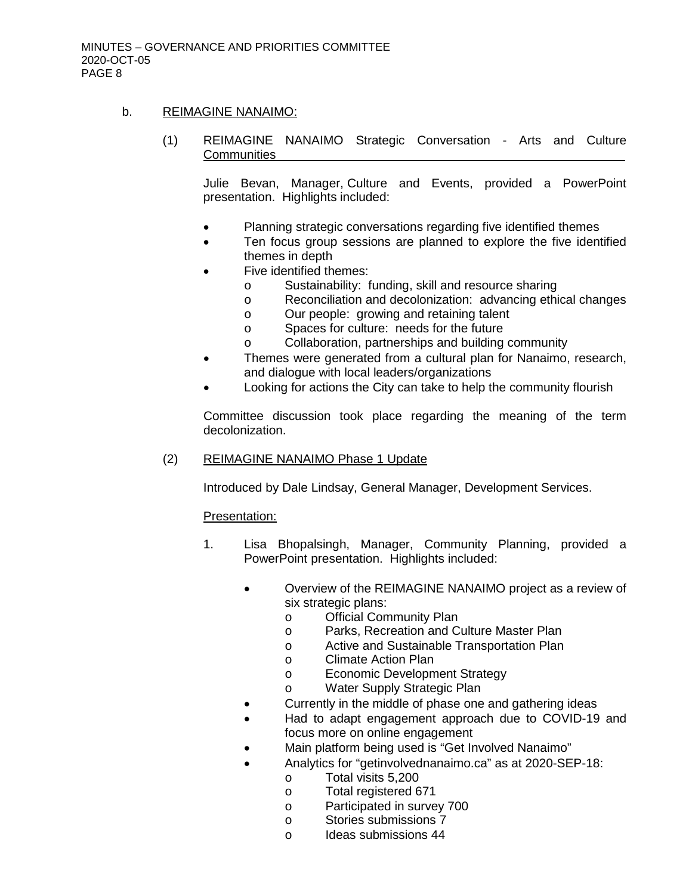### b. REIMAGINE NANAIMO:

(1) REIMAGINE NANAIMO Strategic Conversation - Arts and Culture **Communities** 

Julie Bevan, Manager, Culture and Events, provided a PowerPoint presentation. Highlights included:

- Planning strategic conversations regarding five identified themes
- Ten focus group sessions are planned to explore the five identified themes in depth
- Five identified themes:
	- o Sustainability: funding, skill and resource sharing<br>
	o Reconciliation and decolonization: advancing ethi
	- Reconciliation and decolonization: advancing ethical changes
	- o Our people: growing and retaining talent<br>
	o Spaces for culture: needs for the future
	- Spaces for culture: needs for the future
	- o Collaboration, partnerships and building community
- Themes were generated from a cultural plan for Nanaimo, research, and dialogue with local leaders/organizations
- Looking for actions the City can take to help the community flourish

Committee discussion took place regarding the meaning of the term decolonization.

(2) REIMAGINE NANAIMO Phase 1 Update

Introduced by Dale Lindsay, General Manager, Development Services.

#### Presentation:

- 1. Lisa Bhopalsingh, Manager, Community Planning, provided a PowerPoint presentation. Highlights included:
	- Overview of the REIMAGINE NANAIMO project as a review of six strategic plans:
		- o Official Community Plan
		- o Parks, Recreation and Culture Master Plan
		- o Active and Sustainable Transportation Plan<br>o Climate Action Plan
		- o Climate Action Plan<br>o Economic Developm
		- o Economic Development Strategy<br>o Water Supply Strategic Plan
		- Water Supply Strategic Plan
	- Currently in the middle of phase one and gathering ideas
	- Had to adapt engagement approach due to COVID-19 and focus more on online engagement
	- Main platform being used is "Get Involved Nanaimo"
	- Analytics for "getinvolvednanaimo.ca" as at 2020-SEP-18:
		- o Total visits 5,200<br>
		o Total registered 6
			- o Total registered 671<br>o Participated in surve
			- Participated in survey 700
			- o Stories submissions 7
			- o Ideas submissions 44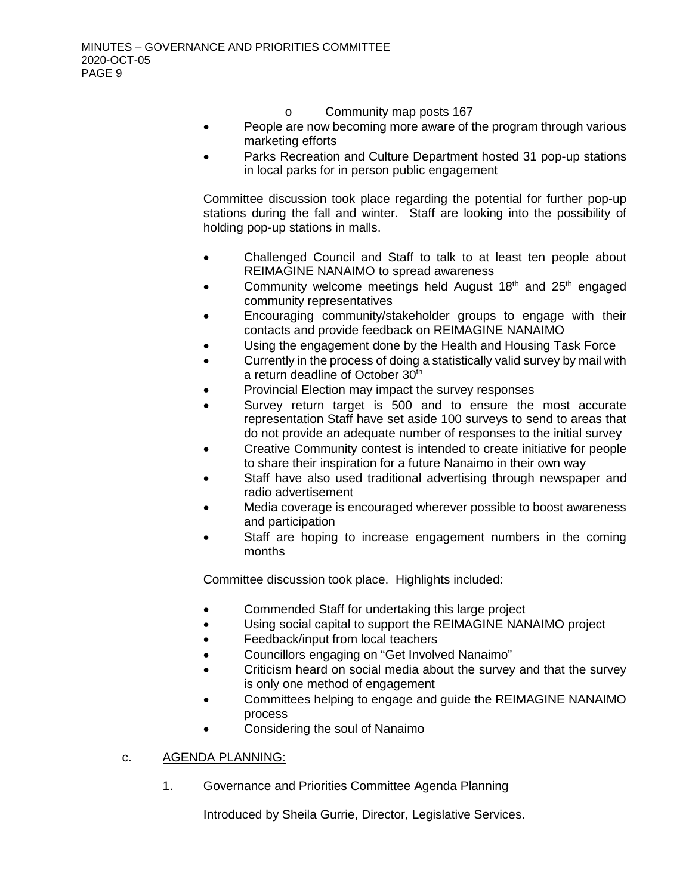- o Community map posts 167
- People are now becoming more aware of the program through various marketing efforts
- Parks Recreation and Culture Department hosted 31 pop-up stations in local parks for in person public engagement

Committee discussion took place regarding the potential for further pop-up stations during the fall and winter. Staff are looking into the possibility of holding pop-up stations in malls.

- Challenged Council and Staff to talk to at least ten people about REIMAGINE NANAIMO to spread awareness
- Community welcome meetings held August  $18<sup>th</sup>$  and  $25<sup>th</sup>$  engaged community representatives
- Encouraging community/stakeholder groups to engage with their contacts and provide feedback on REIMAGINE NANAIMO
- Using the engagement done by the Health and Housing Task Force
- Currently in the process of doing a statistically valid survey by mail with a return deadline of October 30<sup>th</sup>
- Provincial Election may impact the survey responses
- Survey return target is 500 and to ensure the most accurate representation Staff have set aside 100 surveys to send to areas that do not provide an adequate number of responses to the initial survey
- Creative Community contest is intended to create initiative for people to share their inspiration for a future Nanaimo in their own way
- Staff have also used traditional advertising through newspaper and radio advertisement
- Media coverage is encouraged wherever possible to boost awareness and participation
- Staff are hoping to increase engagement numbers in the coming months

Committee discussion took place. Highlights included:

- Commended Staff for undertaking this large project
- Using social capital to support the REIMAGINE NANAIMO project
- Feedback/input from local teachers
- Councillors engaging on "Get Involved Nanaimo"
- Criticism heard on social media about the survey and that the survey is only one method of engagement
- Committees helping to engage and guide the REIMAGINE NANAIMO process
- Considering the soul of Nanaimo

## c. AGENDA PLANNING:

1. Governance and Priorities Committee Agenda Planning

Introduced by Sheila Gurrie, Director, Legislative Services.